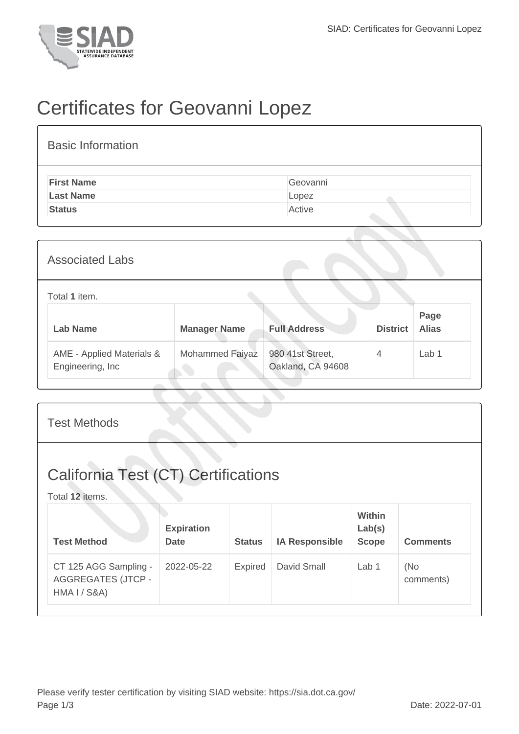

## Certificates for Geovanni Lopez

| <b>Basic Information</b> |          |
|--------------------------|----------|
| <b>First Name</b>        | Geovanni |
| <b>Last Name</b>         | Lopez    |
| <b>Status</b>            | Active   |

| <b>Associated Labs</b>                         |                     |                                       |                 |                      |  |  |  |
|------------------------------------------------|---------------------|---------------------------------------|-----------------|----------------------|--|--|--|
| Total 1 item.                                  |                     |                                       |                 |                      |  |  |  |
| <b>Lab Name</b>                                | <b>Manager Name</b> | <b>Full Address</b>                   | <b>District</b> | Page<br><b>Alias</b> |  |  |  |
| AME - Applied Materials &<br>Engineering, Inc. | Mohammed Faiyaz     | 980 41st Street,<br>Oakland, CA 94608 | $\overline{4}$  | Lab <sub>1</sub>     |  |  |  |

| <b>Test Methods</b>                                                           |                                  |               |                       |                                  |                  |  |  |
|-------------------------------------------------------------------------------|----------------------------------|---------------|-----------------------|----------------------------------|------------------|--|--|
| <b>California Test (CT) Certifications</b><br>Total 12 items.                 |                                  |               |                       |                                  |                  |  |  |
| <b>Test Method</b>                                                            | <b>Expiration</b><br><b>Date</b> | <b>Status</b> | <b>IA Responsible</b> | Within<br>Lab(s)<br><b>Scope</b> | <b>Comments</b>  |  |  |
| CT 125 AGG Sampling -<br><b>AGGREGATES (JTCP -</b><br><b>HMA I / S&amp;A)</b> | 2022-05-22                       | Expired       | David Small           | Lab 1                            | (No<br>comments) |  |  |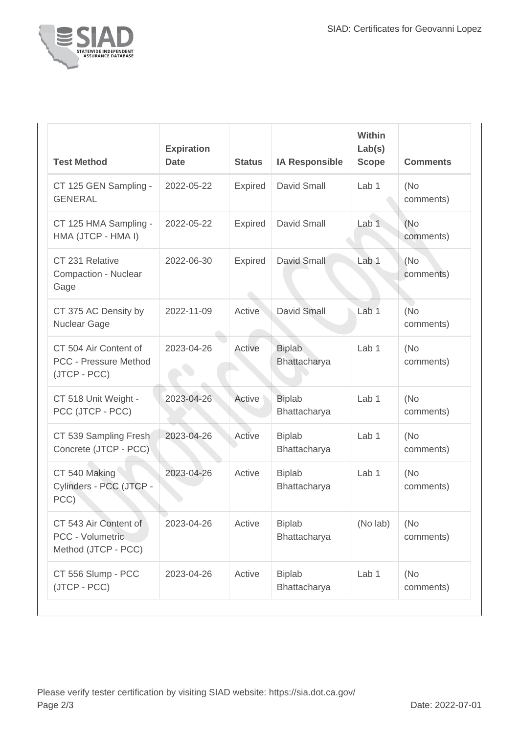

| <b>Test Method</b>                                                    | <b>Expiration</b><br><b>Date</b> | <b>Status</b>  | <b>IA Responsible</b>         | Within<br>Lab(s)<br><b>Scope</b> | <b>Comments</b>   |
|-----------------------------------------------------------------------|----------------------------------|----------------|-------------------------------|----------------------------------|-------------------|
| CT 125 GEN Sampling -<br><b>GENERAL</b>                               | 2022-05-22                       | Expired        | <b>David Small</b>            | Lab <sub>1</sub>                 | (No)<br>comments) |
| CT 125 HMA Sampling -<br>HMA (JTCP - HMA I)                           | 2022-05-22                       | <b>Expired</b> | David Small                   | Lab 1                            | (No)<br>comments) |
| CT 231 Relative<br><b>Compaction - Nuclear</b><br>Gage                | 2022-06-30                       | <b>Expired</b> | David Small                   | Lab <sub>1</sub>                 | (No<br>comments)  |
| CT 375 AC Density by<br><b>Nuclear Gage</b>                           | 2022-11-09                       | Active         | David Small                   | Lab <sub>1</sub>                 | (No<br>comments)  |
| CT 504 Air Content of<br><b>PCC - Pressure Method</b><br>(JTCP - PCC) | 2023-04-26                       | Active         | <b>Biplab</b><br>Bhattacharya | Lab <sub>1</sub>                 | (No)<br>comments) |
| CT 518 Unit Weight -<br>PCC (JTCP - PCC)                              | 2023-04-26                       | Active         | <b>Biplab</b><br>Bhattacharya | Lab <sub>1</sub>                 | (No)<br>comments) |
| CT 539 Sampling Fresh<br>Concrete (JTCP - PCC)                        | 2023-04-26                       | Active         | <b>Biplab</b><br>Bhattacharya | Lab <sub>1</sub>                 | (No<br>comments)  |
| CT 540 Making<br>Cylinders - PCC (JTCP -<br>PCC)                      | 2023-04-26                       | Active         | <b>Biplab</b><br>Bhattacharya | Lab <sub>1</sub>                 | (No)<br>comments) |
| CT 543 Air Content of<br>PCC - Volumetric<br>Method (JTCP - PCC)      | 2023-04-26                       | Active         | <b>Biplab</b><br>Bhattacharya | (No lab)                         | (No)<br>comments) |
| CT 556 Slump - PCC<br>(JTCP - PCC)                                    | 2023-04-26                       | Active         | <b>Biplab</b><br>Bhattacharya | Lab <sub>1</sub>                 | (No)<br>comments) |